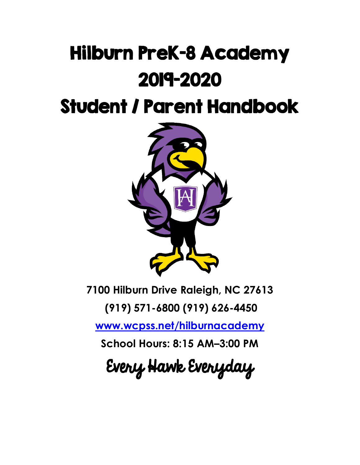# Hilburn PreK-8 Academy 2019-2020

Student / Parent Handbook



**7100 Hilburn Drive Raleigh, NC 27613**

**(919) 571-6800 (919) 626-4450**

**[www.wcpss.net/hilburnacademy](http://www.wcpss.net/hilburnacademy)**

**School Hours: 8:15 AM–3:00 PM**

Every Hawk Everyday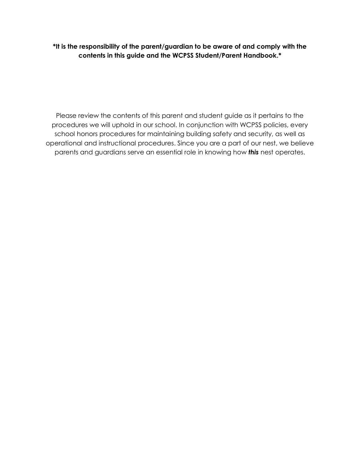**\*It is the responsibility of the parent/guardian to be aware of and comply with the contents in this guide and the WCPSS Student/Parent Handbook.\***

Please review the contents of this parent and student guide as it pertains to the procedures we will uphold in our school. In conjunction with WCPSS policies, every school honors procedures for maintaining building safety and security, as well as operational and instructional procedures. Since you are a part of our nest, we believe parents and guardians serve an essential role in knowing how *this* nest operates.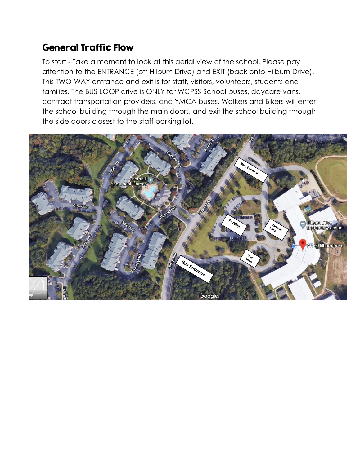# General Traffic Flow

To start - Take a moment to look at this aerial view of the school. Please pay attention to the ENTRANCE (off Hilburn Drive) and EXIT (back onto Hilburn Drive). This TWO-WAY entrance and exit is for staff, visitors, volunteers, students and families. The BUS LOOP drive is ONLY for WCPSS School buses, daycare vans, contract transportation providers, and YMCA buses. Walkers and Bikers will enter the school building through the main doors, and exit the school building through the side doors closest to the staff parking lot.

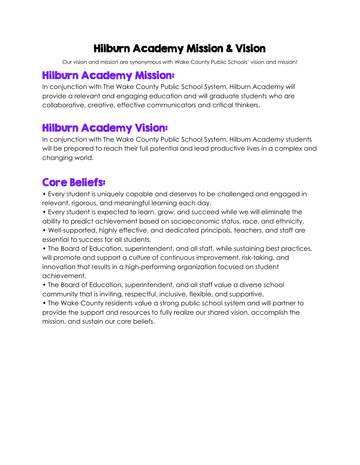# Hilburn Academy Mission & Vision

Our vision and mission are synonymous with Wake County Public Schools' vision and mission!

# Hilburn Academy Mission:

In conjunction with The Wake County Public School System, Hilburn Academy will provide a relevant and engaging education and will graduate students who are collaborative, creative, effective communicators and critical thinkers.

# Hilburn Academy Vision:

In conjunction with The Wake County Public School System, Hilburn Academy students will be prepared to reach their full potential and lead productive lives in a complex and changing world.

# Core Beliefs:

• Every student is uniquely capable and deserves to be challenged and engaged in relevant, rigorous, and meaningful learning each day.

• Every student is expected to learn, grow, and succeed while we will eliminate the ability to predict achievement based on socioeconomic status, race, and ethnicity.

• Well-supported, highly effective, and dedicated principals, teachers, and staff are essential to success for all students.

• The Board of Education, superintendent, and all staff, while sustaining best practices, will promote and support a culture of continuous improvement, risk-taking, and innovation that results in a high-performing organization focused on student achievement.

• The Board of Education, superintendent, and all staff value a diverse school community that is inviting, respectful, inclusive, flexible, and supportive.

• The Wake County residents value a strong public school system and will partner to provide the support and resources to fully realize our shared vision, accomplish the mission, and sustain our core beliefs.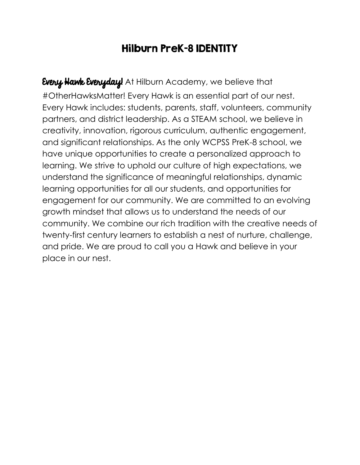# Hilburn PreK-8 IDENTITY

Every Hawk Everyday! At Hilburn Academy, we believe that #OtherHawksMatter! Every Hawk is an essential part of our nest. Every Hawk includes: students, parents, staff, volunteers, community partners, and district leadership. As a STEAM school, we believe in creativity, innovation, rigorous curriculum, authentic engagement, and significant relationships. As the only WCPSS PreK-8 school, we have unique opportunities to create a personalized approach to learning. We strive to uphold our culture of high expectations, we understand the significance of meaningful relationships, dynamic learning opportunities for all our students, and opportunities for engagement for our community. We are committed to an evolving growth mindset that allows us to understand the needs of our community. We combine our rich tradition with the creative needs of twenty-first century learners to establish a nest of nurture, challenge, and pride. We are proud to call you a Hawk and believe in your place in our nest.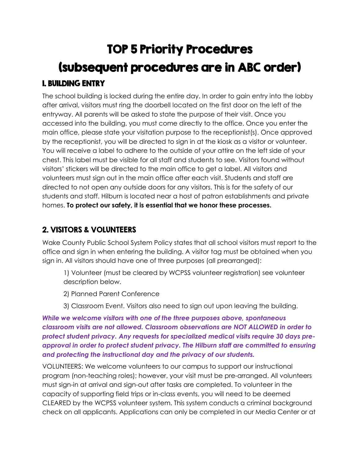# TOP 5 Priority Procedures (subsequent procedures are in ABC order) 1. BUILDING ENTRY

The school building is locked during the entire day. In order to gain entry into the lobby after arrival, visitors must ring the doorbell located on the first door on the left of the entryway. All parents will be asked to state the purpose of their visit. Once you accessed into the building, you must come directly to the office. Once you enter the main office, please state your visitation purpose to the receptionist(s). Once approved by the receptionist, you will be directed to sign in at the kiosk as a visitor or volunteer. You will receive a label to adhere to the outside of your attire on the left side of your chest. This label must be visible for all staff and students to see. Visitors found without visitors' stickers will be directed to the main office to get a label. All visitors and volunteers must sign out in the main office after each visit. Students and staff are directed to not open any outside doors for any visitors. This is for the safety of our students and staff. Hilburn is located near a host of patron establishments and private homes. **To protect our safety, it is essential that we honor these processes.** 

#### 2. VISITORS & VOLUNTEERS

Wake County Public School System Policy states that all school visitors must report to the office and sign in when entering the building. A visitor tag must be obtained when you sign in. All visitors should have one of three purposes (all prearranged):

1) Volunteer (must be cleared by WCPSS volunteer registration) see volunteer description below.

2) Planned Parent Conference

3) Classroom Event. Visitors also need to sign out upon leaving the building.

*While we welcome visitors with one of the three purposes above, spontaneous classroom visits are not allowed. Classroom observations are NOT ALLOWED in order to protect student privacy. Any requests for specialized medical visits require 30 days preapproval in order to protect student privacy. The Hilburn staff are committed to ensuring and protecting the instructional day and the privacy of our students.*

VOLUNTEERS: We welcome volunteers to our campus to support our instructional program (non-teaching roles); however, your visit must be pre-arranged. All volunteers must sign-in at arrival and sign-out after tasks are completed. To volunteer in the capacity of supporting field trips or in-class events, you will need to be deemed CLEARED by the WCPSS volunteer system. This system conducts a criminal background check on all applicants. Applications can only be completed in our Media Center or at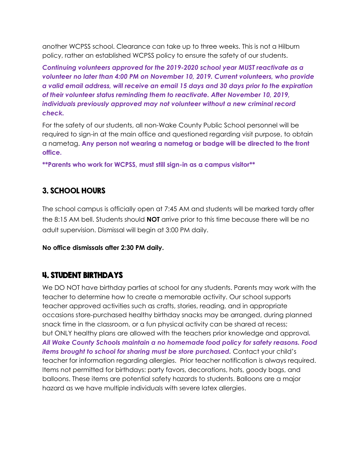another WCPSS school. Clearance can take up to three weeks. This is not a Hilburn policy, rather an established WCPSS policy to ensure the safety of our students.

*Continuing volunteers approved for the 2019-2020 school year MUST reactivate as a volunteer no later than 4:00 PM on November 10, 2019. Current volunteers, who provide a valid email address, will receive an email 15 days and 30 days prior to the expiration of their volunteer status reminding them to reactivate. After November 10, 2019, individuals previously approved may not volunteer without a new criminal record check.*

For the safety of our students, all non-Wake County Public School personnel will be required to sign-in at the main office and questioned regarding visit purpose, to obtain a nametag. **Any person not wearing a nametag or badge will be directed to the front office.**

**\*\*Parents who work for WCPSS, must still sign-in as a campus visitor\*\***

#### 3. SCHOOL HOURS

The school campus is officially open at 7:45 AM and students will be marked tardy after the 8:15 AM bell. Students should **NOT** arrive prior to this time because there will be no adult supervision. Dismissal will begin at 3:00 PM daily.

**No office dismissals after 2:30 PM daily.** 

#### 4. STUDENT BIRTHDAYS

We DO NOT have birthday parties at school for any students. Parents may work with the teacher to determine how to create a memorable activity. Our school supports teacher approved activities such as crafts, stories, reading, and in appropriate occasions store-purchased healthy birthday snacks may be arranged, during planned snack time in the classroom, or a fun physical activity can be shared at recess; but ONLY healthy plans are allowed with the teachers prior knowledge and approval*. All Wake County Schools maintain a no homemade food policy for safety reasons. Food items brought to school for sharing must be store purchased.* Contact your child's teacher for information regarding allergies. Prior teacher notification is always required. Items not permitted for birthdays: party favors, decorations, hats, goody bags, and balloons. These items are potential safety hazards to students. Balloons are a major hazard as we have multiple individuals with severe latex allergies.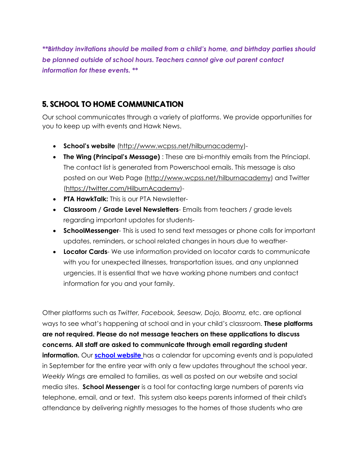*\*\*Birthday invitations should be mailed from a child's home, and birthday parties should be planned outside of school hours. Teachers cannot give out parent contact information for these events. \*\**

#### 5. SCHOOL TO HOME COMMUNICATION

Our school communicates through a variety of platforms. We provide opportunities for you to keep up with events and Hawk News.

- **School's website** [\(http://www.wcpss.net/hilburnacademy\)](http://www.wcpss.net/hilburnacademy)-
- **The Wing (Principal's Message)** : These are bi-monthly emails from the Princiapl. The contact list is generated from Powerschool emails. This message is also posted on our Web Page [\(http://www.wcpss.net/hilburnacademy\)](http://www.wcpss.net/hilburnacademy) and Twitter (https://twitter.com/HilburnAcademy)-
- **PTA HawkTalk:** This is our PTA Newsletter-
- **Classroom / Grade Level Newsletters** Emails from teachers / grade levels regarding important updates for students-
- **SchoolMessenger** This is used to send text messages or phone calls for important updates, reminders, or school related changes in hours due to weather-
- **Locator Cards** We use information provided on locator cards to communicate with you for unexpected illnesses, transportation issues, and any unplanned urgencies. It is essential that we have working phone numbers and contact information for you and your family.

Other platforms such as *Twitter, Facebook, Seesaw, Dojo, Bloomz,* etc. are optional ways to see what's happening at school and in your child's classroom. **These platforms are not required. Please do not message teachers on these applications to discuss concerns. All staff are asked to communicate through email regarding student information.** Our **[school website](http://www.wcpss.net/hilburnacademy)** has a calendar for upcoming events and is populated in September for the entire year with only a few updates throughout the school year. *Weekly Wings* are emailed to families, as well as posted on our website and social media sites. **School Messenger** is a tool for contacting large numbers of parents via telephone, email, and or text. This system also keeps parents informed of their child's attendance by delivering nightly messages to the homes of those students who are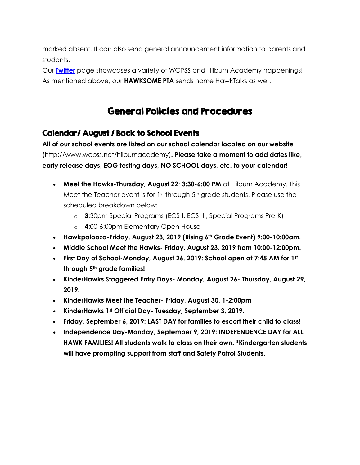marked absent. It can also send general announcement information to parents and students.

Our **[Twitter](http://www.twitter.come/hilburnacademy)** page showcases a variety of WCPSS and Hilburn Academy happenings! As mentioned above, our **HAWKSOME PTA** sends home HawkTalks as well.

# General Policies and Procedures

#### Calendar/ August / Back to School Events

**All of our school events are listed on our school calendar located on our website (**[http://www.wcpss.net/hilburnacademy\)](http://www.wcpss.net/hilburnacademy)**. Please take a moment to add dates like, early release days, EOG testing days, NO SCHOOL days, etc. to your calendar!**

- **Meet the Hawks-Thursday, August 22**: **3:30-6:00 PM** at Hilburn Academy. This Meet the Teacher event is for  $1<sup>st</sup>$  through  $5<sup>th</sup>$  grade students. Please use the scheduled breakdown below:
	- o **3**:30pm Special Programs (ECS-I, ECS- II, Special Programs Pre-K)
	- o **4**:00-6:00pm Elementary Open House
- **Hawkpalooza-Friday, August 23, 2019 (Rising 6th Grade Event) 9:00-10:00am.**
- **Middle School Meet the Hawks- Friday, August 23, 2019 from 10:00-12:00pm.**
- **First Day of School-Monday, August 26, 2019: School open at 7:45 AM for 1st through 5th grade families!**
- **KinderHawks Staggered Entry Days- Monday, August 26- Thursday, August 29, 2019.**
- **KinderHawks Meet the Teacher- Friday, August 30, 1-2:00pm**
- **KinderHawks 1st Official Day- Tuesday, September 3, 2019.**
- **Friday, September 6, 2019: LAST DAY for families to escort their child to class!**
- **Independence Day-Monday, September 9, 2019: INDEPENDENCE DAY for ALL HAWK FAMILIES! All students walk to class on their own. \*Kindergarten students will have prompting support from staff and Safety Patrol Students.**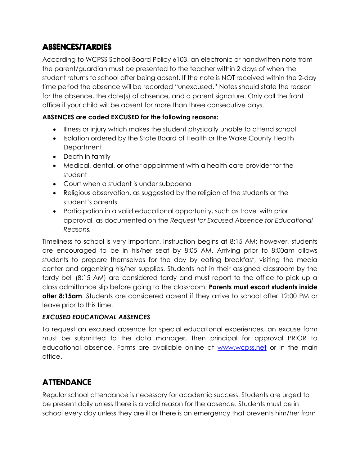#### ABSENCES/TARDIES

According to WCPSS School Board Policy 6103, an electronic or handwritten note from the parent/guardian must be presented to the teacher within 2 days of when the student returns to school after being absent. If the note is NOT received within the 2-day time period the absence will be recorded "unexcused." Notes should state the reason for the absence, the date(s) of absence, and a parent signature. Only call the front office if your child will be absent for more than three consecutive days.

#### **ABSENCES are coded EXCUSED for the following reasons:**

- Illness or injury which makes the student physically unable to attend school
- Isolation ordered by the State Board of Health or the Wake County Health **Department**
- Death in family
- Medical, dental, or other appointment with a health care provider for the student
- Court when a student is under subpoena
- Religious observation, as suggested by the religion of the students or the student's parents
- Participation in a valid educational opportunity, such as travel with prior approval, as documented on the *Request for Excused Absence for Educational Reasons.*

Timeliness to school is very important. Instruction begins at 8:15 AM; however, students are encouraged to be in his/her seat by 8:05 AM. Arriving prior to 8:00am allows students to prepare themselves for the day by eating breakfast, visiting the media center and organizing his/her supplies. Students not in their assigned classroom by the tardy bell (8:15 AM) are considered tardy and must report to the office to pick up a class admittance slip before going to the classroom. **Parents must escort students inside after 8:15am**. Students are considered absent if they arrive to school after 12:00 PM or leave prior to this time.

#### *EXCUSED EDUCATIONAL ABSENCES*

To request an excused absence for special educational experiences, an excuse form must be submitted to the data manager, then principal for approval PRIOR to educational absence. Forms are available online at [www.wcpss.net](http://www.wcpss.net/) or in the main office.

#### ATTENDANCE

Regular school attendance is necessary for academic success. Students are urged to be present daily unless there is a valid reason for the absence. Students must be in school every day unless they are ill or there is an emergency that prevents him/her from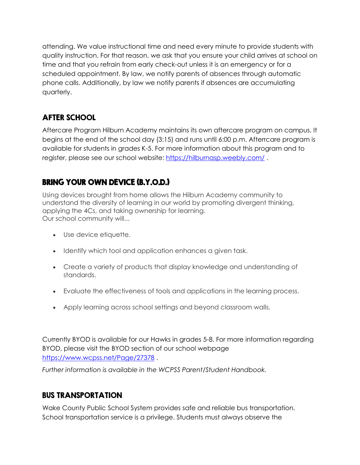attending. We value instructional time and need every minute to provide students with quality instruction. For that reason, we ask that you ensure your child arrives at school on time and that you refrain from early check-out unless it is an emergency or for a scheduled appointment. By law, we notify parents of absences through automatic phone calls. Additionally, by law we notify parents if absences are accumulating quarterly.

### AFTER SCHOOL

Aftercare Program Hilburn Academy maintains its own aftercare program on campus. It begins at the end of the school day (3:15) and runs until 6:00 p.m. Afterrcare program is available for students in grades K-5. For more information about this program and to register, please see our school website:<https://hilburnasp.weebly.com/>.

# BRING YOUR OWN DEVICE (B.Y.O.D.)

Using devices brought from home allows the Hilburn Academy community to understand the diversity of learning in our world by promoting divergent thinking, applying the 4Cs, and taking ownership for learning. Our school community will...

- Use device etiquette.
- Identify which tool and application enhances a given task.
- Create a variety of products that display knowledge and understanding of standards.
- Evaluate the effectiveness of tools and applications in the learning process.
- Apply learning across school settings and beyond classroom walls.

Currently BYOD is available for our Hawks in grades 5-8. For more information regarding BYOD, please visit the BYOD section of our school webpage <https://www.wcpss.net/Page/27378> .

*Further information is available in the WCPSS Parent/Student Handbook.*

## BUS TRANSPORTATION

Wake County Public School System provides safe and reliable bus transportation. School transportation service is a privilege. Students must always observe the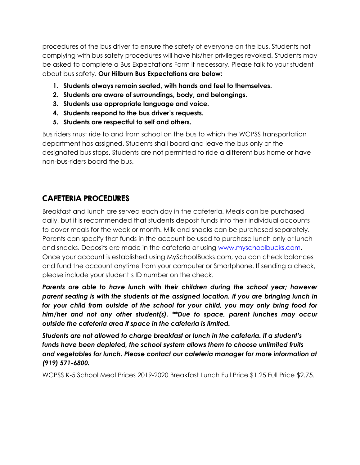procedures of the bus driver to ensure the safety of everyone on the bus. Students not complying with bus safety procedures will have his/her privileges revoked. Students may be asked to complete a Bus Expectations Form if necessary. Please talk to your student about bus safety. **Our Hilburn Bus Expectations are below:**

- **1. Students always remain seated, with hands and feel to themselves.**
- **2. Students are aware of surroundings, body, and belongings.**
- **3. Students use appropriate language and voice.**
- **4. Students respond to the bus driver's requests.**
- **5. Students are respectful to self and others.**

Bus riders must ride to and from school on the bus to which the WCPSS transportation department has assigned. Students shall board and leave the bus only at the designated bus stops. Students are not permitted to ride a different bus home or have non-bus-riders board the bus.

#### CAFETERIA PROCEDURES

Breakfast and lunch are served each day in the cafeteria. Meals can be purchased daily, but it is recommended that students deposit funds into their individual accounts to cover meals for the week or month. Milk and snacks can be purchased separately. Parents can specify that funds in the account be used to purchase lunch only or lunch and snacks. Deposits are made in the cafeteria or using [www.myschoolbucks.com.](file:///C:/Users/mwalker4/Downloads/www.myschoolbucks.com) Once your account is established using MySchoolBucks.com, you can check balances and fund the account anytime from your computer or Smartphone. If sending a check, please include your student's ID number on the check.

*Parents are able to have lunch with their children during the school year; however parent seating is with the students at the assigned location. If you are bringing lunch in for your child from outside of the school for your child, you may only bring food for him/her and not any other student(s). \*\*Due to space, parent lunches may occur outside the cafeteria area if space in the cafeteria is limited.*

*Students are not allowed to charge breakfast or lunch in the cafeteria. If a student's funds have been depleted, the school system allows them to choose unlimited fruits and vegetables for lunch. Please contact our cafeteria manager for more information at (919) 571-6800.*

WCPSS K-5 School Meal Prices 2019-2020 Breakfast Lunch Full Price \$1.25 Full Price \$2.75.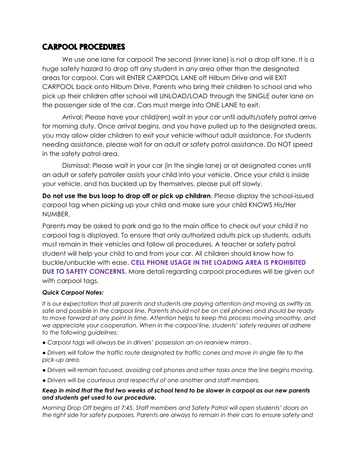#### CARPOOL PROCEDURES

We use one lane for carpool! The second (inner lane) is not a drop off lane. It is a huge safety hazard to drop off any student in any area other than the designated areas for carpool. Cars will ENTER CARPOOL LANE off Hilburn Drive and will EXIT CARPOOL back onto Hilburn Drive. Parents who bring their children to school and who pick up their children after school will UNLOAD/LOAD through the SINGLE outer lane on the passenger side of the car. Cars must merge into ONE LANE to exit.

Arrival: Please have your child(ren) wait in your car until adults/safety patrol arrive for morning duty. Once arrival begins, and you have pulled up to the designated areas, you may allow older children to exit your vehicle without adult assistance. For students needing assistance, please wait for an adult or safety patrol assistance. Do NOT speed in the safety patrol area.

Dismissal: Please wait in your car (in the single lane) or at designated cones until an adult or safety patroller assists your child into your vehicle. Once your child is inside your vehicle, and has buckled up by themselves, please pull off slowly.

**Do not use the bus loop to drop off or pick up children**. Please display the school-issued carpool tag when picking up your child and make sure your child KNOWS His/Her NUMBER.

Parents may be asked to park and go to the main office to check out your child if no carpool tag is displayed. To ensure that only authorized adults pick up students, adults must remain in their vehicles and follow all procedures. A teacher or safety patrol student will help your child to and from your car. All children should know how to buckle/unbuckle with ease. **CELL PHONE USAGE IN THE LOADING AREA IS PROHIBITED DUE TO SAFETY CONCERNS.** More detail regarding carpool procedures will be given out with carpool tags.

#### *Quick Carpool Notes:*

*It is our expectation that all parents and students are paying attention and moving as swiftly as safe and possible in the carpool line. Parents should not be on cell phones and should be ready to move forward at any point in time. Attention helps to keep this process moving smoothly, and we appreciate your cooperation. When in the carpool line, students' safety requires all adhere to the following guidelines:*

*● Carpool tags will always be in drivers' possession an on rearview mirrors .*

*● Drivers will follow the traffic route designated by traffic cones and move in single file to the pick-up area.*

- *Drivers will remain focused, avoiding cell phones and other tasks once the line begins moving.*
- *Drivers will be courteous and respectful of one another and staff members.*

#### *Keep in mind that the first two weeks of school tend to be slower in carpool as our new parents and students get used to our procedure.*

*Morning Drop Off begins at 7:45. Staff members and Safety Patrol will open students' doors on the right side for safety purposes. Parents are always to remain in their cars to ensure safety and*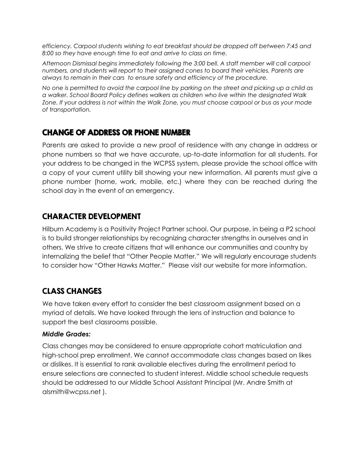*efficiency. Carpool students wishing to eat breakfast should be dropped off between 7:45 and 8:00 so they have enough time to eat and arrive to class on time.*

*Afternoon Dismissal begins immediately following the 3:00 bell. A staff member will call carpool numbers, and students will report to their assigned cones to board their vehicles. Parents are always to remain in their cars to ensure safety and efficiency of the procedure.*

*No one is permitted to avoid the carpool line by parking on the street and picking up a child as a walker. School Board Policy defines walkers as children who live within the designated Walk Zone. If your address is not within the Walk Zone, you must choose carpool or bus as your mode of transportation.*

#### CHANGE OF ADDRESS OR PHONE NUMBER

Parents are asked to provide a new proof of residence with any change in address or phone numbers so that we have accurate, up-to-date information for all students. For your address to be changed in the WCPSS system, please provide the school office with a copy of your current utility bill showing your new information. All parents must give a phone number (home, work, mobile, etc.) where they can be reached during the school day in the event of an emergency.

#### CHARACTER DEVELOPMENT

Hilburn Academy is a Positivity Project Partner school. Our purpose, in being a P2 school is to build stronger relationships by recognizing character strengths in ourselves and in others. We strive to create citizens that will enhance our communities and country by internalizing the belief that "Other People Matter." We will regularly encourage students to consider how "Other Hawks Matter." Please visit our website for more information.

#### CLASS CHANGES

We have taken every effort to consider the best classroom assignment based on a myriad of details. We have looked through the lens of instruction and balance to support the best classrooms possible.

#### *Middle Grades:*

Class changes may be considered to ensure appropriate cohort matriculation and high-school prep enrollment. We cannot accommodate class changes based on likes or dislikes. It is essential to rank available electives during the enrollment period to ensure selections are connected to student interest. Middle school schedule requests should be addressed to our Middle School Assistant Principal (Mr. Andre Smith at alsmith@wcpss.net ).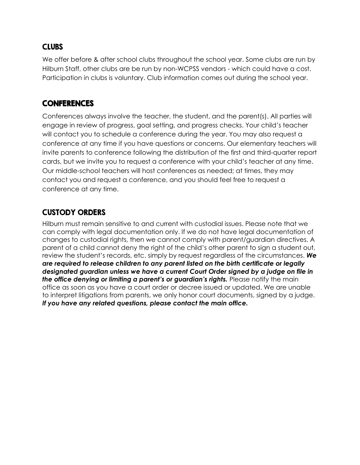#### **CLUBS**

We offer before & after school clubs throughout the school year. Some clubs are run by Hilburn Staff, other clubs are be run by non-WCPSS vendors - which could have a cost. Participation in clubs is voluntary. Club information comes out during the school year.

#### **CONFERENCES**

Conferences always involve the teacher, the student, and the parent(s). All parties will engage in review of progress, goal setting, and progress checks. Your child's teacher will contact you to schedule a conference during the year. You may also request a conference at any time if you have questions or concerns. Our elementary teachers will invite parents to conference following the distribution of the first and third-quarter report cards, but we invite you to request a conference with your child's teacher at any time. Our middle-school teachers will host conferences as needed; at times, they may contact you and request a conference, and you should feel free to request a conference at any time.

#### CUSTODY ORDERS

Hilburn must remain sensitive to and current with custodial issues. Please note that we can comply with legal documentation only. If we do not have legal documentation of changes to custodial rights, then we cannot comply with parent/guardian directives. A parent of a child cannot deny the right of the child's other parent to sign a student out, review the student's records, etc. simply by request regardless of the circumstances. *We are required to release children to any parent listed on the birth certificate or legally designated guardian unless we have a current Court Order signed by a judge on file in the office denying or limiting a parent's or guardian's rights.* Please notify the main office as soon as you have a court order or decree issued or updated. We are unable to interpret litigations from parents, we only honor court documents, signed by a judge. *If you have any related questions, please contact the main office.*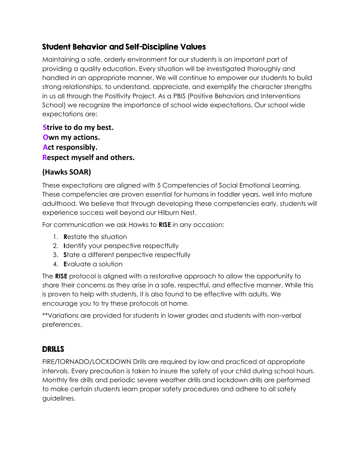#### Student Behavior and Self-Discipline Values

Maintaining a safe, orderly environment for our students is an important part of providing a quality education. Every situation will be investigated thoroughly and handled in an appropriate manner. We will continue to empower our students to build strong relationships, to understand, appreciate, and exemplify the character strengths in us all through the Positivity Project. As a PBIS (Positive Behaviors and Interventions School) we recognize the importance of school wide expectations. Our school wide expectations are:

**Strive to do my best. Own my actions. Act responsibly. Respect myself and others.**

#### **(Hawks SOAR)**

These expectations are aligned with 5 Competencies of Social Emotional Learning. These competencies are proven essential for humans in toddler years, well into mature adulthood. We believe that through developing these competencies early, students will experience success well beyond our Hilburn Nest.

For communication we ask Hawks to **RISE** in any occasion:

- 1. **R**estate the situation
- 2. **I**dentify your perspective respectfully
- 3. **S**tate a different perspective respectfully
- 4. **E**valuate a solution

The **RISE** protocol is aligned with a restorative approach to allow the opportunity to share their concerns as they arise in a safe, respectful, and effective manner. While this is proven to help with students, it is also found to be effective with adults. We encourage you to try these protocols at home.

\*\*Variations are provided for students in lower grades and students with non-verbal preferences.

#### DRILLS

FIRE/TORNADO/LOCKDOWN Drills are required by law and practiced at appropriate intervals. Every precaution is taken to insure the safety of your child during school hours. Monthly fire drills and periodic severe weather drills and lockdown drills are performed to make certain students learn proper safety procedures and adhere to all safety guidelines.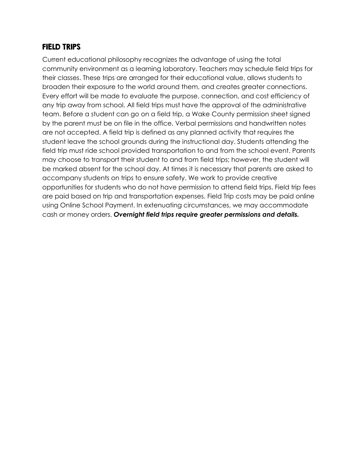#### FIELD TRIPS

Current educational philosophy recognizes the advantage of using the total community environment as a learning laboratory. Teachers may schedule field trips for their classes. These trips are arranged for their educational value, allows students to broaden their exposure to the world around them, and creates greater connections. Every effort will be made to evaluate the purpose, connection, and cost efficiency of any trip away from school. All field trips must have the approval of the administrative team. Before a student can go on a field trip, a Wake County permission sheet signed by the parent must be on file in the office. Verbal permissions and handwritten notes are not accepted. A field trip is defined as any planned activity that requires the student leave the school grounds during the instructional day. Students attending the field trip must ride school provided transportation to and from the school event. Parents may choose to transport their student to and from field trips; however, the student will be marked absent for the school day. At times it is necessary that parents are asked to accompany students on trips to ensure safety. We work to provide creative opportunities for students who do not have permission to attend field trips. Field trip fees are paid based on trip and transportation expenses. Field Trip costs may be paid online using Online School Payment. In extenuating circumstances, we may accommodate cash or money orders. *Overnight field trips require greater permissions and details.*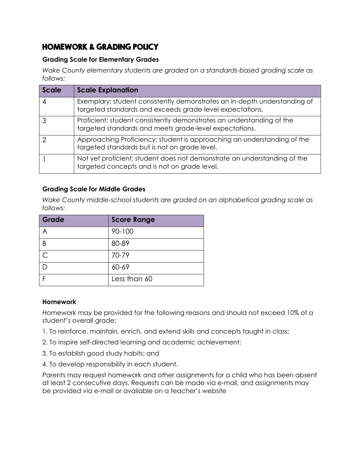#### HOMEWORK & GRADING POLICY

#### **Grading Scale for Elementary Grades**

*Wake County elementary students are graded on a standards-based grading scale as follows:*

| Scale | <b>Scale Explanation</b>                                                                                                              |
|-------|---------------------------------------------------------------------------------------------------------------------------------------|
|       | Exemplary; student consistently demonstrates an in-depth understanding of<br>targeted standards and exceeds grade-level expectations. |
| 3     | Proficient; student consistently demonstrates an understanding of the<br>targeted standards and meets grade-level expectations.       |
|       | Approaching Proficiency; student is approaching an understanding of the<br>targeted standards but is not on grade level.              |
|       | Not yet proficient; student does not demonstrate an understanding of the<br>targeted concepts and is not on grade level.              |

#### **Grading Scale for Middle Grades**

*Wake County middle-school students are graded on an alphabetical grading scale as follows:*

| Grade     | <b>Score Range</b> |
|-----------|--------------------|
|           | 90-100             |
| B         | 80-89              |
| $\subset$ | 70-79              |
|           | 60-69              |
|           | Less than 60       |

#### **Homework**

Homework may be provided for the following reasons and should not exceed 10% of a student's overall grade:

- 1. To reinforce, maintain, enrich, and extend skills and concepts taught in class;
- 2. To inspire self-directed learning and academic achievement;
- 3. To establish good study habits; and
- 4. To develop responsibility in each student.

Parents may request homework and other assignments for a child who has been absent at least 2 consecutive days. Requests can be made via e-mail, and assignments may be provided via e-mail or available on a teacher's website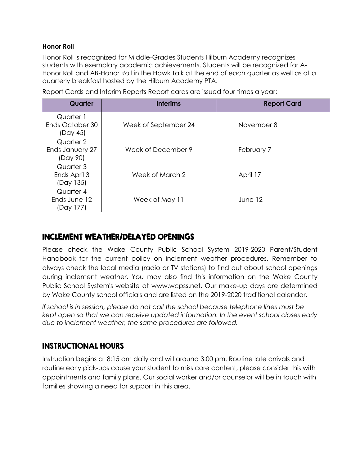#### **Honor Roll**

Honor Roll is recognized for Middle-Grades Students Hilburn Academy recognizes students with exemplary academic achievements. Students will be recognized for A-Honor Roll and AB-Honor Roll in the Hawk Talk at the end of each quarter as well as at a quarterly breakfast hosted by the Hilburn Academy PTA.

| Quarter                                  | <b>Interims</b>      | <b>Report Card</b> |
|------------------------------------------|----------------------|--------------------|
| Quarter 1<br>Ends October 30<br>(Day 45) | Week of September 24 | November 8         |
| Quarter 2<br>Ends January 27<br>(Day 90) | Week of December 9   | February 7         |
| Quarter 3<br>Ends April 3<br>(Day 135)   | Week of March 2      | April 17           |
| Quarter 4<br>Ends June 12<br>(Day 177)   | Week of May 11       | June 12            |

Report Cards and Interim Reports Report cards are issued four times a year:

#### INCLEMENT WEATHER/DELAYED OPENINGS

Please check the Wake County Public School System 2019-2020 Parent/Student Handbook for the current policy on inclement weather procedures. Remember to always check the local media (radio or TV stations) to find out about school openings during inclement weather. You may also find this information on the Wake County Public School System's website at www.wcpss.net. Our make-up days are determined by Wake County school officials and are listed on the 2019-2020 traditional calendar.

*If school is in session, please do not call the school because telephone lines must be kept open so that we can receive updated information. In the event school closes early due to inclement weather, the same procedures are followed.*

#### INSTRUCTIONAL HOURS

Instruction begins at 8:15 am daily and will around 3:00 pm. Routine late arrivals and routine early pick-ups cause your student to miss core content, please consider this with appointments and family plans. Our social worker and/or counselor will be in touch with families showing a need for support in this area.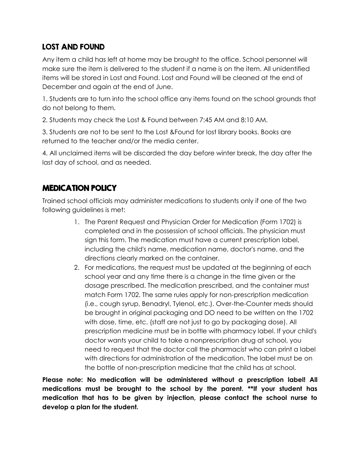#### LOST AND FOUND

Any item a child has left at home may be brought to the office. School personnel will make sure the item is delivered to the student if a name is on the item. All unidentified items will be stored in Lost and Found. Lost and Found will be cleaned at the end of December and again at the end of June.

1. Students are to turn into the school office any items found on the school grounds that do not belong to them.

2. Students may check the Lost & Found between 7:45 AM and 8:10 AM.

3. Students are not to be sent to the Lost &Found for lost library books. Books are returned to the teacher and/or the media center.

4. All unclaimed items will be discarded the day before winter break, the day after the last day of school, and as needed.

#### MEDICATION POLICY

Trained school officials may administer medications to students only if one of the two following guidelines is met:

- 1. The Parent Request and Physician Order for Medication (Form 1702) is completed and in the possession of school officials. The physician must sign this form. The medication must have a current prescription label, including the child's name, medication name, doctor's name, and the directions clearly marked on the container.
- 2. For medications, the request must be updated at the beginning of each school year and any time there is a change in the time given or the dosage prescribed. The medication prescribed, and the container must match Form 1702. The same rules apply for non-prescription medication (i.e., cough syrup, Benadryl, Tylenol, etc.). Over-the-Counter meds should be brought in original packaging and DO need to be written on the 1702 with dose, time, etc. (staff are not just to go by packaging dose). All prescription medicine must be in bottle with pharmacy label. If your child's doctor wants your child to take a nonprescription drug at school, you need to request that the doctor call the pharmacist who can print a label with directions for administration of the medication. The label must be on the bottle of non-prescription medicine that the child has at school.

**Please note: No medication will be administered without a prescription label! All medications must be brought to the school by the parent. \*\*If your student has medication that has to be given by injection, please contact the school nurse to develop a plan for the student.**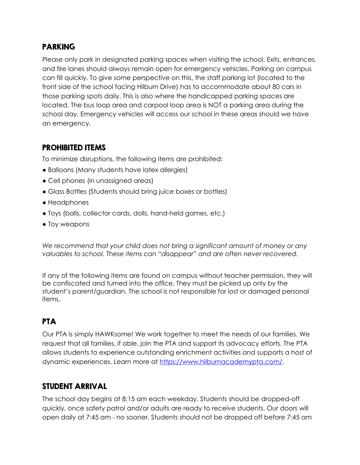#### PARKING

Please only park in designated parking spaces when visiting the school. Exits, entrances, and fire lanes should always remain open for emergency vehicles. Parking on campus can fill quickly. To give some perspective on this, the staff parking lot (located to the front side of the school facing Hilburn Drive) has to accommodate about 80 cars in those parking spots daily. This is also where the handicapped parking spaces are located. The bus loop area and carpool loop area is NOT a parking area during the school day. Emergency vehicles will access our school in these areas should we have an emergency.

#### PROHIBITED ITEMS

To minimize disruptions, the following items are prohibited:

- Balloons (Many students have latex allergies)
- Cell phones (in unassigned areas)
- Glass Bottles (Students should bring juice boxes or bottles)
- Headphones
- Toys (balls, collector cards, dolls, hand-held games, etc.)
- Toy weapons

*We recommend that your child does not bring a significant amount of money or any valuables to school. These items can "disappear" and are often never recovered.*

If any of the following items are found on campus without teacher permission, they will be confiscated and turned into the office. They must be picked up only by the student's parent/guardian. The school is not responsible for lost or damaged personal items.

# PTA

Our PTA is simply HAWKsome! We work together to meet the needs of our families. We request that all families, if able, join the PTA and support its advocacy efforts. The PTA allows students to experience outstanding enrichment activities and supports a host of dynamic experiences. Learn more at [https://www.hilburnacademypta.com/.](https://www.hilburnacademypta.com/)

#### STUDENT ARRIVAL

The school day begins at 8:15 am each weekday. Students should be dropped-off quickly, once safety patrol and/or adults are ready to receive students. Our doors will open daily at 7:45 am - no sooner. Students should not be dropped off before 7:45 am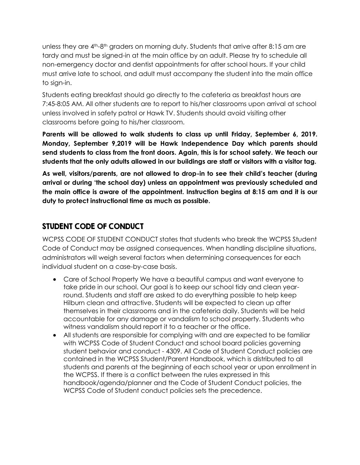unless they are  $4<sup>th</sup>$ -8<sup>th</sup> graders on morning duty. Students that arrive after 8:15 am are tardy and must be signed-in at the main office by an adult. Please try to schedule all non-emergency doctor and dentist appointments for after school hours. If your child must arrive late to school, and adult must accompany the student into the main office to sign-in.

Students eating breakfast should go directly to the cafeteria as breakfast hours are 7:45-8:05 AM. All other students are to report to his/her classrooms upon arrival at school unless involved in safety patrol or Hawk TV. Students should avoid visiting other classrooms before going to his/her classroom.

**Parents will be allowed to walk students to class up until Friday, September 6, 2019. Monday, September 9,2019 will be Hawk Independence Day which parents should send students to class from the front doors. Again, this is for school safety. We teach our students that the only adults allowed in our buildings are staff or visitors with a visitor tag.** 

**As well, visitors/parents, are not allowed to drop-in to see their child's teacher (during arrival or during 'the school day) unless an appointment was previously scheduled and the main office is aware of the appointment. Instruction begins at 8:15 am and it is our duty to protect instructional time as much as possible.**

#### STUDENT CODE OF CONDUCT

WCPSS CODE OF STUDENT CONDUCT states that students who break the WCPSS Student Code of Conduct may be assigned consequences. When handling discipline situations, administrators will weigh several factors when determining consequences for each individual student on a case-by-case basis.

- Care of School Property We have a beautiful campus and want everyone to take pride in our school. Our goal is to keep our school tidy and clean yearround. Students and staff are asked to do everything possible to help keep Hilburn clean and attractive. Students will be expected to clean up after themselves in their classrooms and in the cafeteria daily. Students will be held accountable for any damage or vandalism to school property. Students who witness vandalism should report it to a teacher or the office.
- All students are responsible for complying with and are expected to be familiar with WCPSS Code of Student Conduct and school board policies governing student behavior and conduct - 4309. All Code of Student Conduct policies are contained in the WCPSS Student/Parent Handbook, which is distributed to all students and parents at the beginning of each school year or upon enrollment in the WCPSS. If there is a conflict between the rules expressed in this handbook/agenda/planner and the Code of Student Conduct policies, the WCPSS Code of Student conduct policies sets the precedence.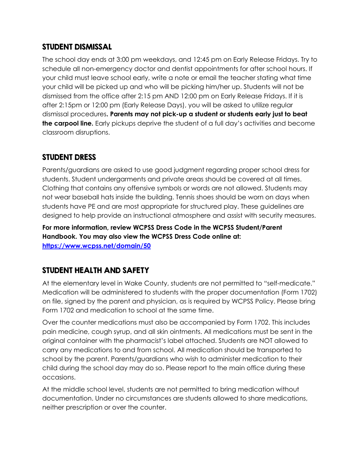#### STUDENT DISMISSAL

The school day ends at 3:00 pm weekdays, and 12:45 pm on Early Release Fridays. Try to schedule all non-emergency doctor and dentist appointments for after school hours. If your child must leave school early, write a note or email the teacher stating what time your child will be picked up and who will be picking him/her up. Students will not be dismissed from the office after 2:15 pm AND 12:00 pm on Early Release Fridays. If it is after 2:15pm or 12:00 pm (Early Release Days), you will be asked to utilize regular dismissal procedures**. Parents may not pick-up a student or students early just to beat the carpool line.** Early pickups deprive the student of a full day's activities and become classroom disruptions.

#### STUDENT DRESS

Parents/guardians are asked to use good judgment regarding proper school dress for students. Student undergarments and private areas should be covered at all times. Clothing that contains any offensive symbols or words are not allowed. Students may not wear baseball hats inside the building. Tennis shoes should be worn on days when students have PE and are most appropriate for structured play. These guidelines are designed to help provide an instructional atmosphere and assist with security measures.

**For more information, review WCPSS Dress Code in the WCPSS Student/Parent Handbook. You may also view the WCPSS Dress Code online at: <https://www.wcpss.net/domain/50>**

#### STUDENT HEALTH AND SAFETY

At the elementary level in Wake County, students are not permitted to "self-medicate." Medication will be administered to students with the proper documentation (Form 1702) on file, signed by the parent and physician, as is required by WCPSS Policy. Please bring Form 1702 and medication to school at the same time.

Over the counter medications must also be accompanied by Form 1702. This includes pain medicine, cough syrup, and all skin ointments. All medications must be sent in the original container with the pharmacist's label attached. Students are NOT allowed to carry any medications to and from school. All medication should be transported to school by the parent. Parents/guardians who wish to administer medication to their child during the school day may do so. Please report to the main office during these occasions.

At the middle school level, students are not permitted to bring medication without documentation. Under no circumstances are students allowed to share medications, neither prescription or over the counter.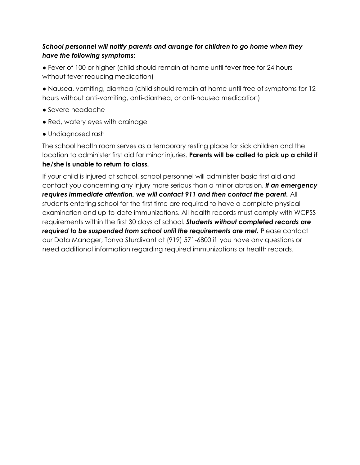#### *School personnel will notify parents and arrange for children to go home when they have the following symptoms:*

● Fever of 100 or higher (child should remain at home until fever free for 24 hours without fever reducing medication)

● Nausea, vomiting, diarrhea (child should remain at home until free of symptoms for 12 hours without anti-vomiting, anti-diarrhea, or anti-nausea medication)

- Severe headache
- Red, watery eyes with drainage
- Undiagnosed rash

The school health room serves as a temporary resting place for sick children and the location to administer first aid for minor injuries. **Parents will be called to pick up a child if he/she is unable to return to class.**

If your child is injured at school, school personnel will administer basic first aid and contact you concerning any injury more serious than a minor abrasion. *If an emergency requires immediate attention, we will contact 911 and then contact the parent.* All students entering school for the first time are required to have a complete physical examination and up-to-date immunizations. All health records must comply with WCPSS requirements within the first 30 days of school. *Students without completed records are required to be suspended from school until the requirements are met.* Please contact our Data Manager, Tonya Sturdivant at (919) 571-6800 if you have any questions or need additional information regarding required immunizations or health records.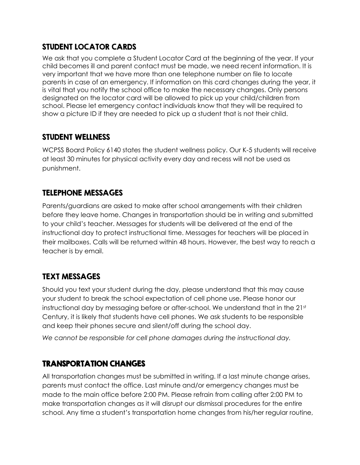#### STUDENT LOCATOR CARDS

We ask that you complete a Student Locator Card at the beginning of the year. If your child becomes ill and parent contact must be made, we need recent information. It is very important that we have more than one telephone number on file to locate parents in case of an emergency. If information on this card changes during the year, it is vital that you notify the school office to make the necessary changes. Only persons designated on the locator card will be allowed to pick up your child/children from school. Please let emergency contact individuals know that they will be required to show a picture ID if they are needed to pick up a student that is not their child.

#### STUDENT WELLNESS

WCPSS Board Policy 6140 states the student wellness policy. Our K-5 students will receive at least 30 minutes for physical activity every day and recess will not be used as punishment.

#### TELEPHONE MESSAGES

Parents/guardians are asked to make after school arrangements with their children before they leave home. Changes in transportation should be in writing and submitted to your child's teacher. Messages for students will be delivered at the end of the instructional day to protect instructional time. Messages for teachers will be placed in their mailboxes. Calls will be returned within 48 hours. However, the best way to reach a teacher is by email.

#### TEXT MESSAGES

Should you text your student during the day, please understand that this may cause your student to break the school expectation of cell phone use. Please honor our instructional day by messaging before or after-school. We understand that in the  $21<sup>st</sup>$ Century, it is likely that students have cell phones. We ask students to be responsible and keep their phones secure and silent/off during the school day.

*We cannot be responsible for cell phone damages during the instructional day.*

#### TRANSPORTATION CHANGES

All transportation changes must be submitted in writing. If a last minute change arises, parents must contact the office. Last minute and/or emergency changes must be made to the main office before 2:00 PM. Please refrain from calling after 2:00 PM to make transportation changes as it will disrupt our dismissal procedures for the entire school. Any time a student's transportation home changes from his/her regular routine,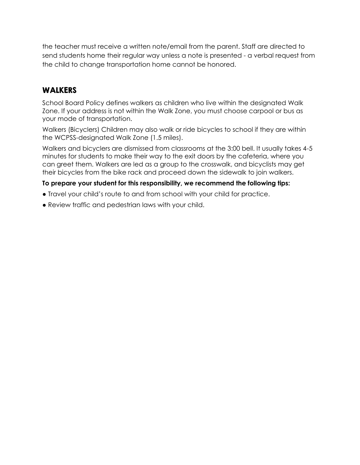the teacher must receive a written note/email from the parent. Staff are directed to send students home their regular way unless a note is presented - a verbal request from the child to change transportation home cannot be honored.

#### WALKERS

School Board Policy defines walkers as children who live within the designated Walk Zone. If your address is not within the Walk Zone, you must choose carpool or bus as your mode of transportation.

Walkers (Bicyclers) Children may also walk or ride bicycles to school if they are within the WCPSS-designated Walk Zone (1.5 miles).

Walkers and bicyclers are dismissed from classrooms at the 3:00 bell. It usually takes 4-5 minutes for students to make their way to the exit doors by the cafeteria, where you can greet them. Walkers are led as a group to the crosswalk, and bicyclists may get their bicycles from the bike rack and proceed down the sidewalk to join walkers.

#### **To prepare your student for this responsibility, we recommend the following tips:**

- Travel your child's route to and from school with your child for practice.
- Review traffic and pedestrian laws with your child.